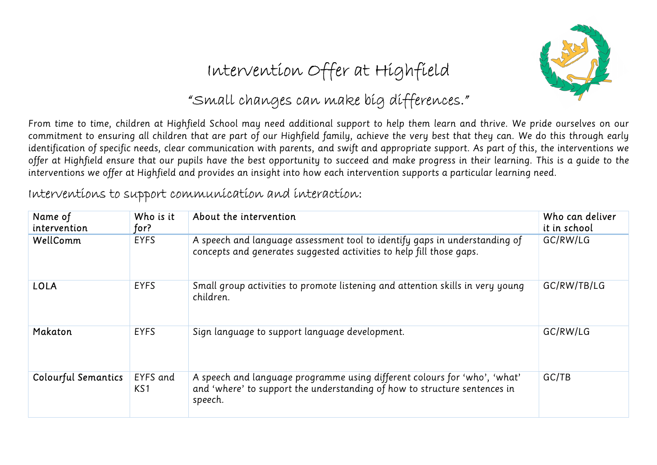

# Intervention Offer at Highfield

#### "Small changes can make big differences."

From time to time, children at Highfield School may need additional support to help them learn and thrive. We pride ourselves on our commitment to ensuring all children that are part of our Highfield family, achieve the very best that they can. We do this through early identification of specific needs, clear communication with parents, and swift and appropriate support. As part of this, the interventions we offer at Highfield ensure that our pupils have the best opportunity to succeed and make progress in their learning. This is a guide to the interventions we offer at Highfield and provides an insight into how each intervention supports a particular learning need.

| Name of<br>intervention    | Who is it<br>for? | About the intervention                                                                                                                                            | Who can deliver<br>it in school |
|----------------------------|-------------------|-------------------------------------------------------------------------------------------------------------------------------------------------------------------|---------------------------------|
| WellComm                   | <b>EYFS</b>       | A speech and language assessment tool to identify gaps in understanding of<br>concepts and generates suggested activities to help fill those gaps.                | GC/RW/LG                        |
| <b>LOLA</b>                | <b>EYFS</b>       | Small group activities to promote listening and attention skills in very young<br>children.                                                                       | GC/RW/TB/LG                     |
| Makaton                    | <b>EYFS</b>       | Sign language to support language development.                                                                                                                    | GC/RW/LG                        |
| <b>Colourful Semantics</b> | EYFS and<br>KS1   | A speech and language programme using different colours for 'who', 'what'<br>and 'where' to support the understanding of how to structure sentences in<br>speech. | GC/TB                           |

#### Interventions to support communication and interaction: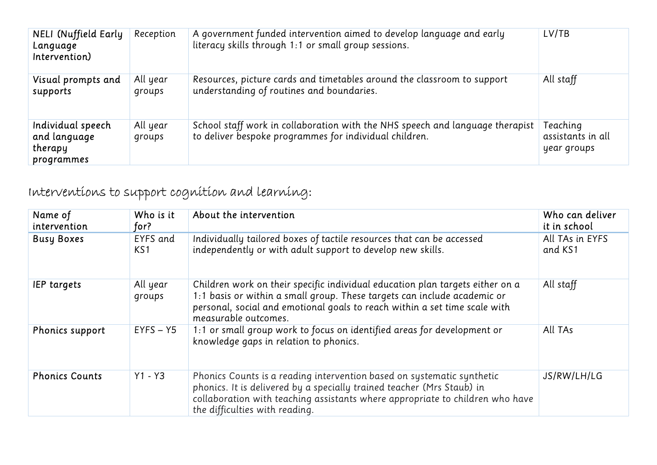| <b>NELI</b> (Nuffield Early<br>Language<br>Intervention)   | Reception          | A government funded intervention aimed to develop language and early<br>literacy skills through 1:1 or small group sessions.            | LV/TB                                        |
|------------------------------------------------------------|--------------------|-----------------------------------------------------------------------------------------------------------------------------------------|----------------------------------------------|
| Visual prompts and<br>supports                             | All year<br>groups | Resources, picture cards and timetables around the classroom to support<br>understanding of routines and boundaries.                    | All staff                                    |
| Individual speech<br>and language<br>therapy<br>programmes | All year<br>groups | School staff work in collaboration with the NHS speech and language therapist<br>to deliver bespoke programmes for individual children. | Teaching<br>assistants in all<br>year groups |

### Interventions to support cognition and learning:

| Name of<br>intervention | Who is it<br>for?           | About the intervention                                                                                                                                                                                                                                              | Who can deliver<br>it in school |
|-------------------------|-----------------------------|---------------------------------------------------------------------------------------------------------------------------------------------------------------------------------------------------------------------------------------------------------------------|---------------------------------|
| <b>Busy Boxes</b>       | EYFS and<br>KS <sub>1</sub> | Individually tailored boxes of tactile resources that can be accessed<br>independently or with adult support to develop new skills.                                                                                                                                 | All TAs in EYFS<br>and KS1      |
| <b>IEP targets</b>      | All year<br>groups          | Children work on their specific individual education plan targets either on a<br>1:1 basis or within a small group. These targets can include academic or<br>personal, social and emotional goals to reach within a set time scale with<br>measurable outcomes.     | All staff                       |
| <b>Phonics support</b>  | $EYFS - Y5$                 | 1:1 or small group work to focus on identified areas for development or<br>knowledge gaps in relation to phonics.                                                                                                                                                   | All TAs                         |
| <b>Phonics Counts</b>   | $Y1 - Y3$                   | Phonics Counts is a reading intervention based on systematic synthetic<br>phonics. It is delivered by a specially trained teacher (Mrs Staub) in<br>collaboration with teaching assistants where appropriate to children who have<br>the difficulties with reading. | JS/RW/LH/LG                     |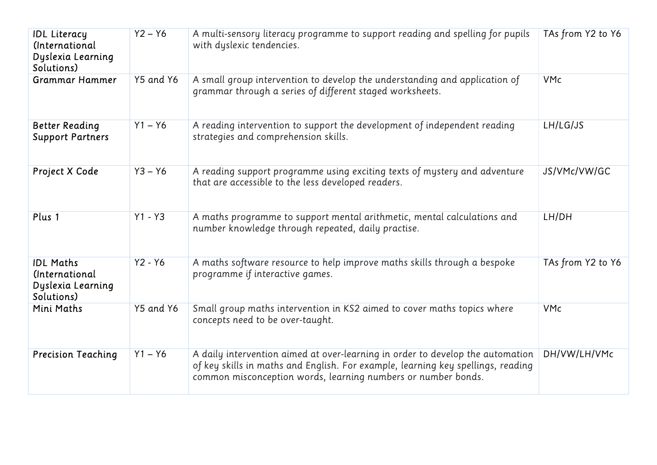| <b>IDL Literacy</b><br>(International<br>Dyslexia Learning<br>Solutions)      | $Y2 - Y6$ | A multi-sensory literacy programme to support reading and spelling for pupils<br>with dyslexic tendencies.                                                                                                                          | TAs from Y2 to Y6 |
|-------------------------------------------------------------------------------|-----------|-------------------------------------------------------------------------------------------------------------------------------------------------------------------------------------------------------------------------------------|-------------------|
| <b>Grammar Hammer</b>                                                         | Y5 and Y6 | A small group intervention to develop the understanding and application of<br>grammar through a series of different staged worksheets.                                                                                              | <b>VMc</b>        |
| <b>Better Reading</b><br><b>Support Partners</b>                              | $Y1 - Y6$ | A reading intervention to support the development of independent reading<br>strategies and comprehension skills.                                                                                                                    | LH/LG/JS          |
| Project X Code                                                                | $Y3 - Y6$ | A reading support programme using exciting texts of mystery and adventure<br>that are accessible to the less developed readers.                                                                                                     | JS/VMc/VW/GC      |
| Plus 1                                                                        | $Y1 - Y3$ | A maths programme to support mental arithmetic, mental calculations and<br>number knowledge through repeated, daily practise.                                                                                                       | LH/DH             |
| <b>IDL Maths</b><br><i>(International)</i><br>Dyslexia Learning<br>Solutions) | $Y2 - Y6$ | A maths software resource to help improve maths skills through a bespoke<br>programme if interactive games.                                                                                                                         | TAs from Y2 to Y6 |
| Mini Maths                                                                    | Y5 and Y6 | Small group maths intervention in KS2 aimed to cover maths topics where<br>concepts need to be over-taught.                                                                                                                         | <b>VMc</b>        |
| <b>Precision Teaching</b>                                                     | $Y1 - Y6$ | A daily intervention aimed at over-learning in order to develop the automation<br>of key skills in maths and English. For example, learning key spellings, reading<br>common misconception words, learning numbers or number bonds. | DH/VW/LH/VMc      |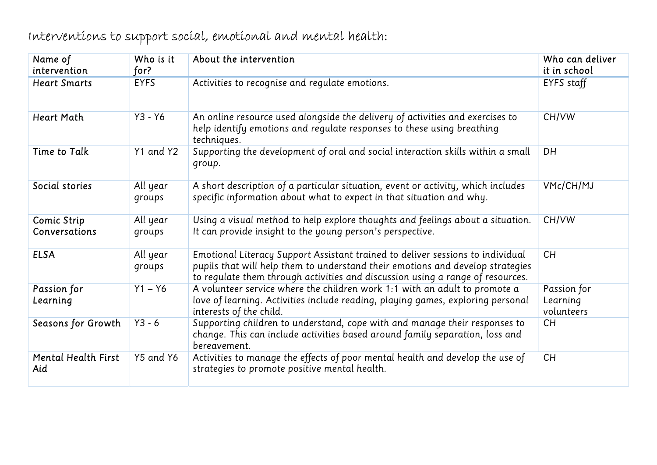| Name of<br>intervention             | Who is it<br>for?  | About the intervention                                                                                                                                                                                                                             | Who can deliver<br>it in school       |
|-------------------------------------|--------------------|----------------------------------------------------------------------------------------------------------------------------------------------------------------------------------------------------------------------------------------------------|---------------------------------------|
| <b>Heart Smarts</b>                 | <b>EYFS</b>        | Activities to recognise and regulate emotions.                                                                                                                                                                                                     | EYFS staff                            |
| <b>Heart Math</b>                   | $Y3 - Y6$          | An online resource used alongside the delivery of activities and exercises to<br>help identify emotions and regulate responses to these using breathing<br>techniques.                                                                             | CH/VW                                 |
| Time to Talk                        | Y1 and Y2          | Supporting the development of oral and social interaction skills within a small<br>group.                                                                                                                                                          | DH                                    |
| Social stories                      | All year<br>groups | A short description of a particular situation, event or activity, which includes<br>specific information about what to expect in that situation and why.                                                                                           | VMc/CH/MJ                             |
| <b>Comic Strip</b><br>Conversations | All year<br>groups | Using a visual method to help explore thoughts and feelings about a situation.<br>It can provide insight to the young person's perspective.                                                                                                        | CH/VW                                 |
| <b>ELSA</b>                         | All year<br>groups | Emotional Literacy Support Assistant trained to deliver sessions to individual<br>pupils that will help them to understand their emotions and develop strategies<br>to regulate them through activities and discussion using a range of resources. | <b>CH</b>                             |
| Passion for<br>Learning             | $Y1 - Y6$          | A volunteer service where the children work 1:1 with an adult to promote a<br>love of learning. Activities include reading, playing games, exploring personal<br>interests of the child.                                                           | Passion for<br>Learning<br>volunteers |
| Seasons for Growth                  | $Y3 - 6$           | Supporting children to understand, cope with and manage their responses to<br>change. This can include activities based around family separation, loss and<br>bereavement.                                                                         | <b>CH</b>                             |
| <b>Mental Health First</b><br>Aid   | Y5 and Y6          | Activities to manage the effects of poor mental health and develop the use of<br>strategies to promote positive mental health.                                                                                                                     | CH                                    |

# Interventions to support social, emotional and mental health: